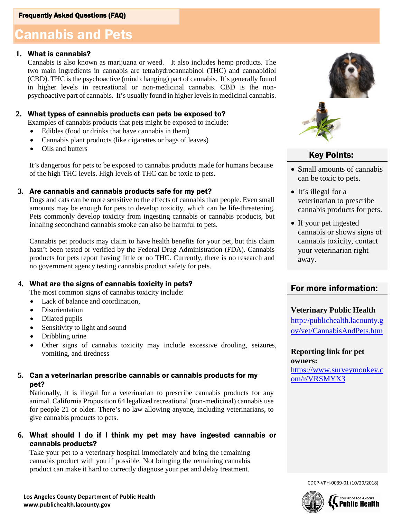# Cannabis and Pets Cannabis and Pets

### **1.** What is cannabis?

Cannabis is also known as marijuana or weed. It also includes hemp products. The two main ingredients in cannabis are tetrahydrocannabinol (THC) and cannabidiol (CBD). THC is the psychoactive (mind changing) part of cannabis. It's generally found in higher levels in recreational or non-medicinal cannabis. CBD is the nonpsychoactive part of cannabis. It's usually found in higher levels in medicinal cannabis.

### **2.** What types of cannabis products can pets be exposed to?

Examples of cannabis products that pets might be exposed to include:

- Edibles (food or drinks that have cannabis in them)
- Cannabis plant products (like cigarettes or bags of leaves)
- Oils and butters

It's dangerous for pets to be exposed to cannabis products made for humans because of the high THC levels. High levels of THC can be toxic to pets.

#### **3.** Are cannabis and cannabis products safe for my pet?

Dogs and cats can be more sensitive to the effects of cannabis than people. Even small amounts may be enough for pets to develop toxicity, which can be life-threatening. Pets commonly develop toxicity from ingesting cannabis or cannabis products, but inhaling secondhand cannabis smoke can also be harmful to pets.

Cannabis pet products may claim to have health benefits for your pet, but this claim hasn't been tested or verified by the Federal Drug Administration (FDA). Cannabis products for pets report having little or no THC. Currently, there is no research and no government agency testing cannabis product safety for pets.

### **4.** What are the signs of cannabis toxicity in pets?

The most common signs of cannabis toxicity include:

- Lack of balance and coordination.
- Disorientation
- Dilated pupils
- Sensitivity to light and sound
- Dribbling urine
- Other signs of cannabis toxicity may include excessive drooling, seizures, vomiting, and tiredness

### **5.** Can a veterinarian prescribe cannabis or cannabis products for my pet?

Nationally, it is illegal for a veterinarian to prescribe cannabis products for any animal. California Proposition 64 legalized recreational (non-medicinal) cannabis use for people 21 or older. There's no law allowing anyone, including veterinarians, to give cannabis products to pets.

# **6.** What should I do if I think my pet may have ingested cannabis or cannabis products?

Take your pet to a veterinary hospital immediately and bring the remaining cannabis product with you if possible. Not bringing the remaining cannabis product can make it hard to correctly diagnose your pet and delay treatment.



# Key Points:

- Small amounts of cannabis can be toxic to pets.
- It's illegal for a veterinarian to prescribe cannabis products for pets.
- If your pet ingested cannabis or shows signs of cannabis toxicity, contact your veterinarian right away.

# For more information:

#### **Veterinary Public Health**

http://publichealth.lacounty.g ov/vet/CannabisAndPets.htm

**Reporting link for pet owners:**

https://www.surveymonkey.c om/r/VRSMYX3

CDCP-VPH-0039-01 (10/29/2018)

**COUNTY OF LOS ANGELES Public Health**